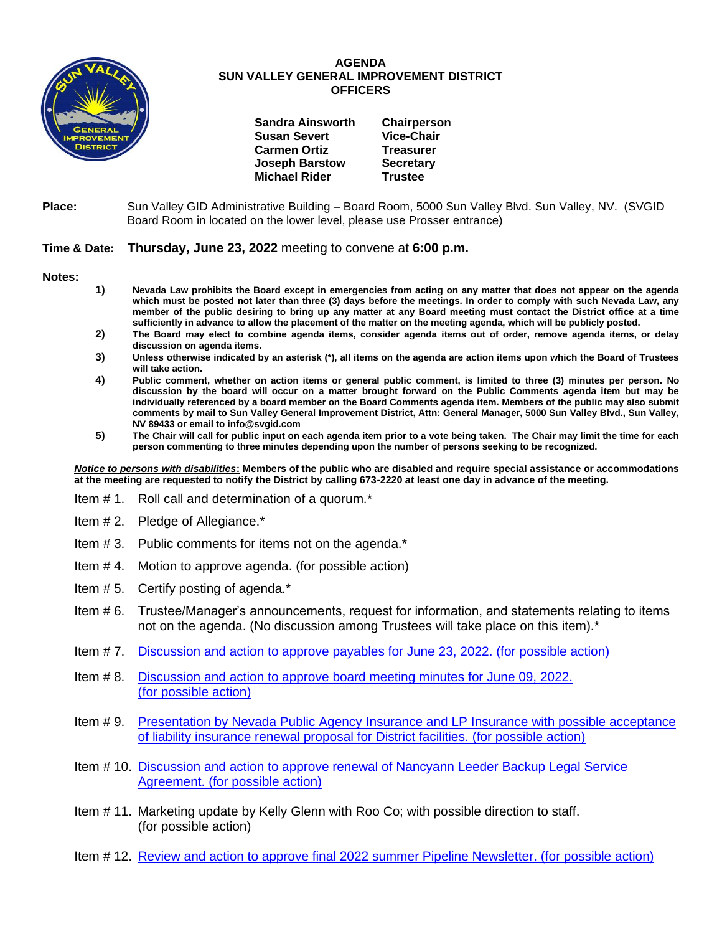

## **AGENDA SUN VALLEY GENERAL IMPROVEMENT DISTRICT OFFICERS**

| <b>Sandra Ainsworth</b> | Chairperson       |
|-------------------------|-------------------|
| <b>Susan Severt</b>     | <b>Vice-Chair</b> |
| <b>Carmen Ortiz</b>     | <b>Treasurer</b>  |
| <b>Joseph Barstow</b>   | <b>Secretary</b>  |
| <b>Michael Rider</b>    | <b>Trustee</b>    |
|                         |                   |

**Place:** Sun Valley GID Administrative Building – Board Room, 5000 Sun Valley Blvd. Sun Valley, NV. (SVGID Board Room in located on the lower level, please use Prosser entrance)

## **Time & Date: Thursday, June 23, 2022** meeting to convene at **6:00 p.m.**

**Notes:**

- **1) Nevada Law prohibits the Board except in emergencies from acting on any matter that does not appear on the agenda which must be posted not later than three (3) days before the meetings. In order to comply with such Nevada Law, any member of the public desiring to bring up any matter at any Board meeting must contact the District office at a time sufficiently in advance to allow the placement of the matter on the meeting agenda, which will be publicly posted.**
- **2) The Board may elect to combine agenda items, consider agenda items out of order, remove agenda items, or delay discussion on agenda items.**
- **3) Unless otherwise indicated by an asterisk (\*), all items on the agenda are action items upon which the Board of Trustees will take action.**
- **4) Public comment, whether on action items or general public comment, is limited to three (3) minutes per person. No discussion by the board will occur on a matter brought forward on the Public Comments agenda item but may be individually referenced by a board member on the Board Comments agenda item. Members of the public may also submit comments by mail to Sun Valley General Improvement District, Attn: General Manager, 5000 Sun Valley Blvd., Sun Valley, NV 89433 or email to info@svgid.com**
- **5) The Chair will call for public input on each agenda item prior to a vote being taken. The Chair may limit the time for each person commenting to three minutes depending upon the number of persons seeking to be recognized.**

*Notice to persons with disabilities***: Members of the public who are disabled and require special assistance or accommodations at the meeting are requested to notify the District by calling 673-2220 at least one day in advance of the meeting.**

- Item # 1. Roll call and determination of a quorum.\*
- Item # 2. Pledge of Allegiance.\*
- Item # 3. Public comments for items not on the agenda.\*
- Item # 4. Motion to approve agenda. (for possible action)
- Item # 5. Certify posting of agenda.\*
- Item # 6. Trustee/Manager's announcements, request for information, and statements relating to items not on the agenda. (No discussion among Trustees will take place on this item).\*
- Item # 7. [Discussion and action to approve payables](https://www.svgid.com/wp-content/uploads/062322_AgendaItem07.pdf) for June 23, 2022. (for possible action)
- Item # 8. [Discussion and action to approve board meeting minutes for](https://www.svgid.com/wp-content/uploads/062322_AgendaItem08.pdf) June 09, 2022. [\(for possible action\)](https://www.svgid.com/wp-content/uploads/062322_AgendaItem08.pdf)
- Item # 9. [Presentation by Nevada Public Agency Insurance and LP Insurance with possible acceptance](https://www.svgid.com/wp-content/uploads/062322_AgendaItem09.pdf)  [of liability insurance renewal proposal for District facilities. \(for possible action\)](https://www.svgid.com/wp-content/uploads/062322_AgendaItem09.pdf)
- Item # 10. [Discussion and action to approve renewal of Nancyann Leeder Backup Legal Service](https://www.svgid.com/wp-content/uploads/062322_AgendaItem10.pdf)  Agreement. [\(for possible action\)](https://www.svgid.com/wp-content/uploads/062322_AgendaItem10.pdf)
- Item # 11. Marketing update by Kelly Glenn with Roo Co; with possible direction to staff. (for possible action)
- Item # 12. [Review and action to approve final 2022 summer Pipeline Newsletter. \(for possible action\)](https://www.svgid.com/wp-content/uploads/062322_AgendaItem12.pdf)